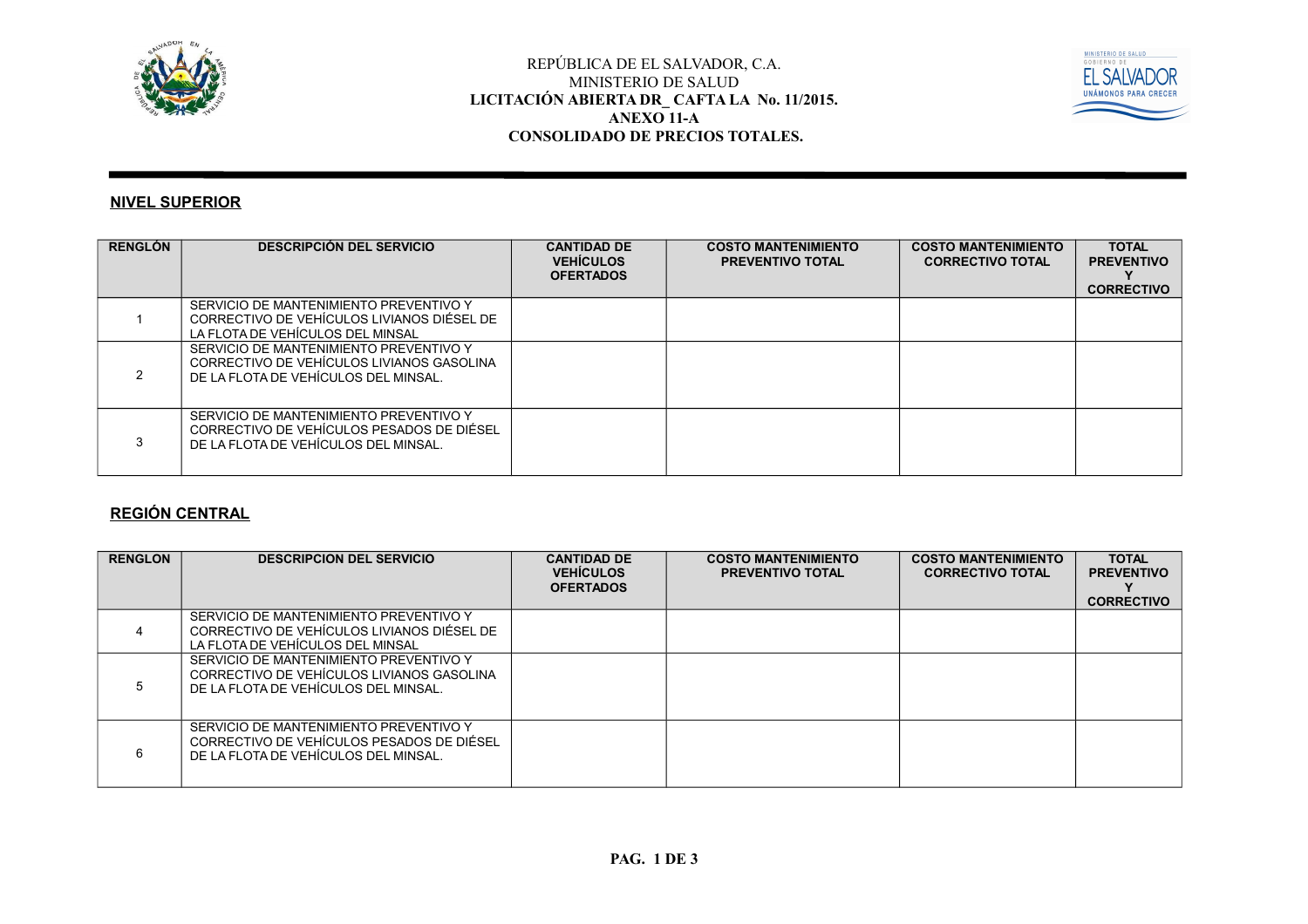



#### **NIVEL SUPERIOR**

| <b>RENGLÓN</b> | <b>DESCRIPCIÓN DEL SERVICIO</b>                                                                                             | <b>CANTIDAD DE</b><br><b>VEHICULOS</b><br><b>OFERTADOS</b> | <b>COSTO MANTENIMIENTO</b><br><b>PREVENTIVO TOTAL</b> | <b>COSTO MANTENIMIENTO</b><br><b>CORRECTIVO TOTAL</b> | <b>TOTAL</b><br><b>PREVENTIVO</b><br><b>CORRECTIVO</b> |
|----------------|-----------------------------------------------------------------------------------------------------------------------------|------------------------------------------------------------|-------------------------------------------------------|-------------------------------------------------------|--------------------------------------------------------|
|                | SERVICIO DE MANTENIMIENTO PREVENTIVO Y<br>CORRECTIVO DE VEHÍCULOS LIVIANOS DIÉSEL DE<br>LA FLOTA DE VEHÍCULOS DEL MINSAL    |                                                            |                                                       |                                                       |                                                        |
|                | SERVICIO DE MANTENIMIENTO PREVENTIVO Y<br>CORRECTIVO DE VEHÍCULOS LIVIANOS GASOLINA<br>DE LA FLOTA DE VEHÍCULOS DEL MINSAL. |                                                            |                                                       |                                                       |                                                        |
|                | SERVICIO DE MANTENIMIENTO PREVENTIVO Y<br>CORRECTIVO DE VEHÍCULOS PESADOS DE DIÉSEL<br>DE LA FLOTA DE VEHÍCULOS DEL MINSAL. |                                                            |                                                       |                                                       |                                                        |

#### **REGIÓN CENTRAL**

| <b>RENGLON</b> | <b>DESCRIPCION DEL SERVICIO</b>                                                                                             | <b>CANTIDAD DE</b><br><b>VEHICULOS</b><br><b>OFERTADOS</b> | <b>COSTO MANTENIMIENTO</b><br><b>PREVENTIVO TOTAL</b> | <b>COSTO MANTENIMIENTO</b><br><b>CORRECTIVO TOTAL</b> | <b>TOTAL</b><br><b>PREVENTIVO</b><br><b>CORRECTIVO</b> |
|----------------|-----------------------------------------------------------------------------------------------------------------------------|------------------------------------------------------------|-------------------------------------------------------|-------------------------------------------------------|--------------------------------------------------------|
|                | SERVICIO DE MANTENIMIENTO PREVENTIVO Y<br>CORRECTIVO DE VEHÍCULOS LIVIANOS DIÉSEL DE<br>LA FLOTA DE VEHÍCULOS DEL MINSAL    |                                                            |                                                       |                                                       |                                                        |
|                | SERVICIO DE MANTENIMIENTO PREVENTIVO Y<br>CORRECTIVO DE VEHÍCULOS LIVIANOS GASOLINA<br>DE LA FLOTA DE VEHÍCULOS DEL MINSAL. |                                                            |                                                       |                                                       |                                                        |
|                | SERVICIO DE MANTENIMIENTO PREVENTIVO Y<br>CORRECTIVO DE VEHÍCULOS PESADOS DE DIÉSEL<br>DE LA FLOTA DE VEHÍCULOS DEL MINSAL. |                                                            |                                                       |                                                       |                                                        |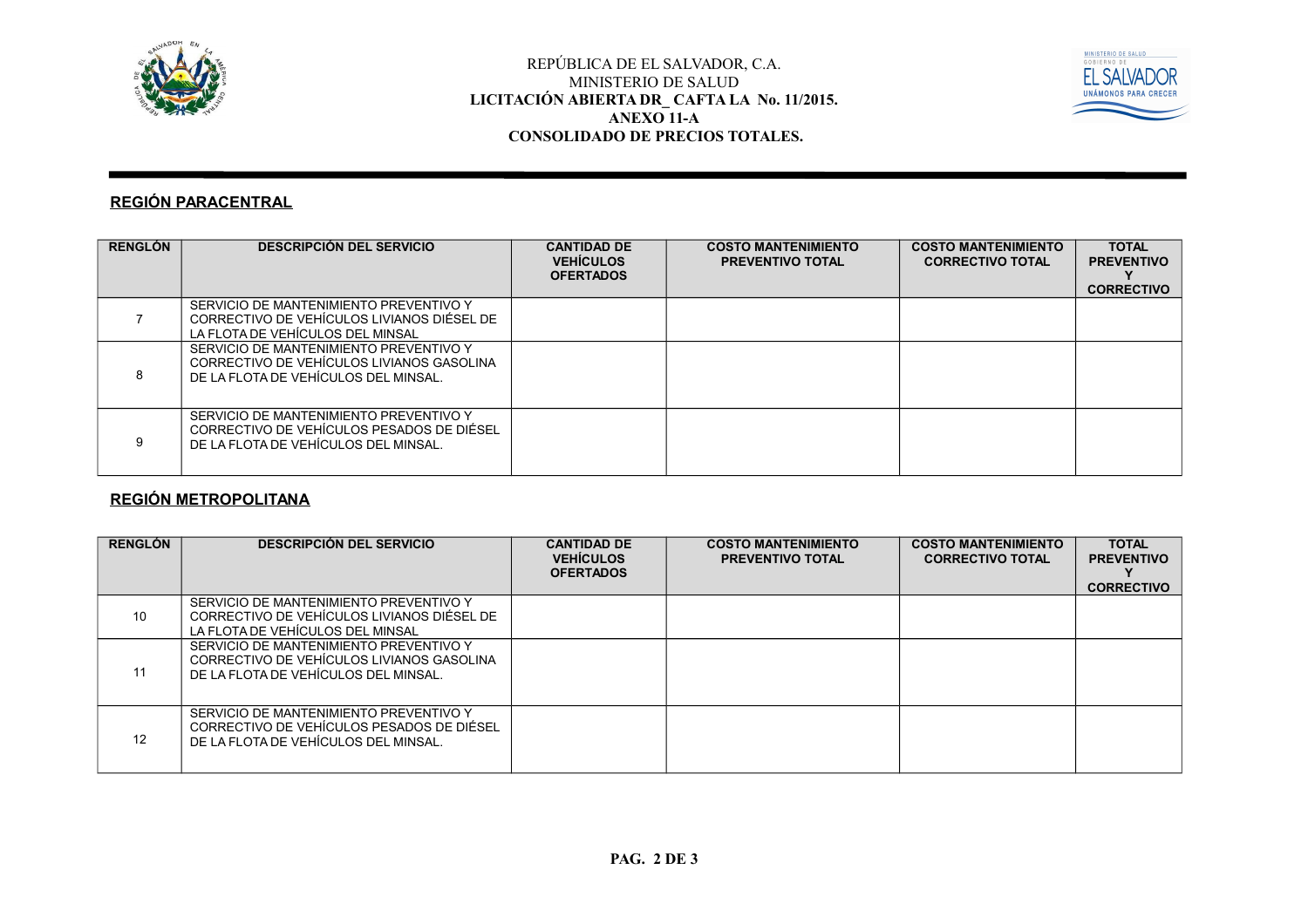



### **REGIÓN PARACENTRAL**

| <b>RENGLÓN</b> | <b>DESCRIPCIÓN DEL SERVICIO</b>                                                                                             | <b>CANTIDAD DE</b><br><b>VEHÍCULOS</b><br><b>OFERTADOS</b> | <b>COSTO MANTENIMIENTO</b><br><b>PREVENTIVO TOTAL</b> | <b>COSTO MANTENIMIENTO</b><br><b>CORRECTIVO TOTAL</b> | <b>TOTAL</b><br><b>PREVENTIVO</b><br><b>CORRECTIVO</b> |
|----------------|-----------------------------------------------------------------------------------------------------------------------------|------------------------------------------------------------|-------------------------------------------------------|-------------------------------------------------------|--------------------------------------------------------|
|                | SERVICIO DE MANTENIMIENTO PREVENTIVO Y<br>CORRECTIVO DE VEHÍCULOS LIVIANOS DIÉSEL DE<br>LA FLOTA DE VEHÍCULOS DEL MINSAL    |                                                            |                                                       |                                                       |                                                        |
|                | SERVICIO DE MANTENIMIENTO PREVENTIVO Y<br>CORRECTIVO DE VEHÍCULOS LIVIANOS GASOLINA<br>DE LA FLOTA DE VEHÍCULOS DEL MINSAL. |                                                            |                                                       |                                                       |                                                        |
|                | SERVICIO DE MANTENIMIENTO PREVENTIVO Y<br>CORRECTIVO DE VEHÍCULOS PESADOS DE DIÉSEL<br>DE LA FLOTA DE VEHÍCULOS DEL MINSAL. |                                                            |                                                       |                                                       |                                                        |

# **REGIÓN METROPOLITANA**

| <b>RENGLÓN</b> | <b>DESCRIPCIÓN DEL SERVICIO</b>                                                                                             | <b>CANTIDAD DE</b><br><b>VEHÍCULOS</b><br><b>OFERTADOS</b> | <b>COSTO MANTENIMIENTO</b><br><b>PREVENTIVO TOTAL</b> | <b>COSTO MANTENIMIENTO</b><br><b>CORRECTIVO TOTAL</b> | <b>TOTAL</b><br><b>PREVENTIVO</b><br><b>CORRECTIVO</b> |
|----------------|-----------------------------------------------------------------------------------------------------------------------------|------------------------------------------------------------|-------------------------------------------------------|-------------------------------------------------------|--------------------------------------------------------|
| 10             | SERVICIO DE MANTENIMIENTO PREVENTIVO Y<br>CORRECTIVO DE VEHÍCULOS LIVIANOS DIÉSEL DE<br>LA FLOTA DE VEHÍCULOS DEL MINSAL    |                                                            |                                                       |                                                       |                                                        |
| 11             | SERVICIO DE MANTENIMIENTO PREVENTIVO Y<br>CORRECTIVO DE VEHÍCULOS LIVIANOS GASOLINA<br>DE LA FLOTA DE VEHÍCULOS DEL MINSAL. |                                                            |                                                       |                                                       |                                                        |
| 12             | SERVICIO DE MANTENIMIENTO PREVENTIVO Y<br>CORRECTIVO DE VEHÍCULOS PESADOS DE DIÉSEL<br>DE LA FLOTA DE VEHÍCULOS DEL MINSAL. |                                                            |                                                       |                                                       |                                                        |